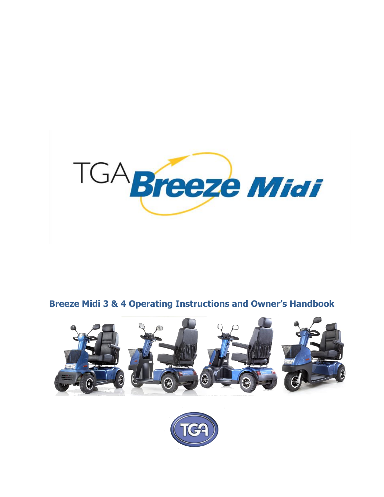

# **Breeze Midi 3 & 4 Operating Instructions and Owner's Handbook**



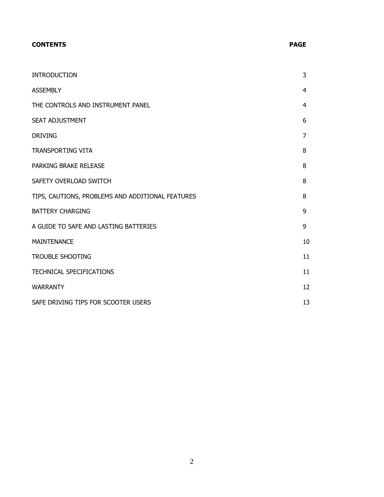# **CONTENTS PAGE**

| <b>INTRODUCTION</b>                              | 3  |
|--------------------------------------------------|----|
| <b>ASSEMBLY</b>                                  | 4  |
| THE CONTROLS AND INSTRUMENT PANEL                | 4  |
| <b>SEAT ADJUSTMENT</b>                           | 6  |
| <b>DRIVING</b>                                   | 7  |
| <b>TRANSPORTING VITA</b>                         | 8  |
| PARKING BRAKE RELEASE                            | 8  |
| SAFETY OVERLOAD SWITCH                           | 8  |
| TIPS, CAUTIONS, PROBLEMS AND ADDITIONAL FEATURES | 8  |
| <b>BATTERY CHARGING</b>                          | 9  |
| A GUIDE TO SAFE AND LASTING BATTERIES            | 9  |
| <b>MAINTENANCE</b>                               | 10 |
| <b>TROUBLE SHOOTING</b>                          | 11 |
| TECHNICAL SPECIFICATIONS                         | 11 |
| <b>WARRANTY</b>                                  | 12 |
| SAFE DRIVING TIPS FOR SCOOTER USERS              | 13 |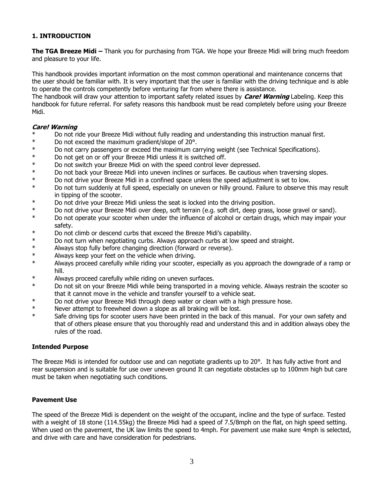# **1. INTRODUCTION**

**The TGA Breeze Midi –** Thank you for purchasing from TGA. We hope your Breeze Midi will bring much freedom and pleasure to your life.

This handbook provides important information on the most common operational and maintenance concerns that the user should be familiar with. It is very important that the user is familiar with the driving technique and is able to operate the controls competently before venturing far from where there is assistance.

The handbook will draw your attention to important safety related issues by **Care! Warning** Labeling. Keep this handbook for future referral. For safety reasons this handbook must be read completely before using your Breeze Midi.

#### **Care! Warning**

- \* Do not ride your Breeze Midi without fully reading and understanding this instruction manual first.<br>No not exceed the maximum gradient/clope of 208
- Do not exceed the maximum gradient/slope of 20°.
- \* Do not carry passengers or exceed the maximum carrying weight (see Technical Specifications).
- \* Do not get on or off your Breeze Midi unless it is switched off.
- \* Do not switch your Breeze Midi on with the speed control lever depressed.
- \* Do not back your Breeze Midi into uneven inclines or surfaces. Be cautious when traversing slopes.
- \* Do not drive your Breeze Midi in a confined space unless the speed adjustment is set to low.
- \* Do not turn suddenly at full speed, especially on uneven or hilly ground. Failure to observe this may result in tipping of the scooter.
- \* Do not drive your Breeze Midi unless the seat is locked into the driving position.
- \* Do not drive your Breeze Midi over deep, soft terrain (e.g. soft dirt, deep grass, loose gravel or sand).
- \* Do not operate your scooter when under the influence of alcohol or certain drugs, which may impair your safety.
- \* Do not climb or descend curbs that exceed the Breeze Midi's capability.
- \* Do not turn when negotiating curbs. Always approach curbs at low speed and straight.
- \* Always stop fully before changing direction (forward or reverse).
- \* Always keep your feet on the vehicle when driving.
- \* Always proceed carefully while riding your scooter, especially as you approach the downgrade of a ramp or hill.
- \* Always proceed carefully while riding on uneven surfaces.
- \* Do not sit on your Breeze Midi while being transported in a moving vehicle. Always restrain the scooter so that it cannot move in the vehicle and transfer yourself to a vehicle seat.
- \* Do not drive your Breeze Midi through deep water or clean with a high pressure hose.
- \* Never attempt to freewheel down a slope as all braking will be lost.
- \* Safe driving tips for scooter users have been printed in the back of this manual. For your own safety and that of others please ensure that you thoroughly read and understand this and in addition always obey the rules of the road.

#### **Intended Purpose**

The Breeze Midi is intended for outdoor use and can negotiate gradients up to 20°. It has fully active front and rear suspension and is suitable for use over uneven ground It can negotiate obstacles up to 100mm high but care must be taken when negotiating such conditions.

#### **Pavement Use**

The speed of the Breeze Midi is dependent on the weight of the occupant, incline and the type of surface. Tested with a weight of 18 stone (114.55kg) the Breeze Midi had a speed of 7.5/8mph on the flat, on high speed setting. When used on the pavement, the UK law limits the speed to 4mph. For pavement use make sure 4mph is selected, and drive with care and have consideration for pedestrians.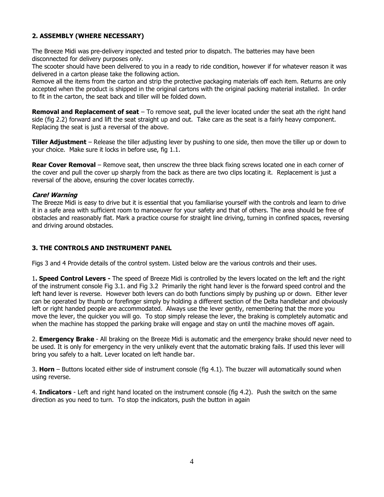# **2. ASSEMBLY (WHERE NECESSARY)**

The Breeze Midi was pre-delivery inspected and tested prior to dispatch. The batteries may have been disconnected for delivery purposes only.

The scooter should have been delivered to you in a ready to ride condition, however if for whatever reason it was delivered in a carton please take the following action.

Remove all the items from the carton and strip the protective packaging materials off each item. Returns are only accepted when the product is shipped in the original cartons with the original packing material installed. In order to fit in the carton, the seat back and tiller will be folded down.

**Removal and Replacement of seat** – To remove seat, pull the lever located under the seat ath the right hand side (fig 2.2) forward and lift the seat straight up and out. Take care as the seat is a fairly heavy component. Replacing the seat is just a reversal of the above.

**Tiller Adjustment** – Release the tiller adjusting lever by pushing to one side, then move the tiller up or down to your choice. Make sure it locks in before use, fig 1.1.

**Rear Cover Removal** – Remove seat, then unscrew the three black fixing screws located one in each corner of the cover and pull the cover up sharply from the back as there are two clips locating it. Replacement is just a reversal of the above, ensuring the cover locates correctly.

## **Care! Warning**

The Breeze Midi is easy to drive but it is essential that you familiarise yourself with the controls and learn to drive it in a safe area with sufficient room to manoeuver for your safety and that of others. The area should be free of obstacles and reasonably flat. Mark a practice course for straight line driving, turning in confined spaces, reversing and driving around obstacles.

# **3. THE CONTROLS AND INSTRUMENT PANEL**

Figs 3 and 4 Provide details of the control system. Listed below are the various controls and their uses.

1**. Speed Control Levers -** The speed of Breeze Midi is controlled by the levers located on the left and the right of the instrument console Fig 3.1. and Fig 3.2 Primarily the right hand lever is the forward speed control and the left hand lever is reverse. However both levers can do both functions simply by pushing up or down. Either lever can be operated by thumb or forefinger simply by holding a different section of the Delta handlebar and obviously left or right handed people are accommodated. Always use the lever gently, remembering that the more you move the lever, the quicker you will go. To stop simply release the lever, the braking is completely automatic and when the machine has stopped the parking brake will engage and stay on until the machine moves off again.

2. **Emergency Brake** - All braking on the Breeze Midi is automatic and the emergency brake should never need to be used. It is only for emergency in the very unlikely event that the automatic braking fails. If used this lever will bring you safely to a halt. Lever located on left handle bar.

3. **Horn** – Buttons located either side of instrument console (fig 4.1). The buzzer will automatically sound when using reverse.

4. **Indicators** - Left and right hand located on the instrument console (fig 4.2). Push the switch on the same direction as you need to turn. To stop the indicators, push the button in again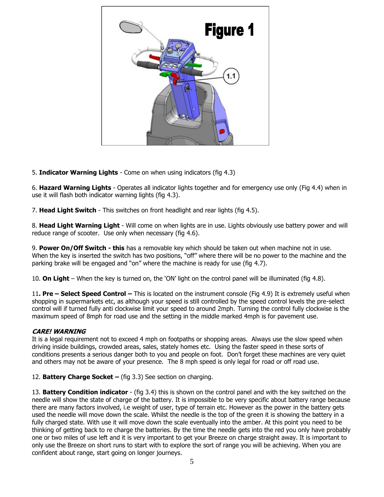

5. **Indicator Warning Lights** - Come on when using indicators (fig 4.3)

6. **Hazard Warning Lights** - Operates all indicator lights together and for emergency use only (Fig 4.4) when in use it will flash both indicator warning lights (fig 4.3).

7. **Head Light Switch** - This switches on front headlight and rear lights (fig 4.5).

8. **Head Light Warning Light** - Will come on when lights are in use. Lights obviously use battery power and will reduce range of scooter. Use only when necessary (fig 4.6).

9. **Power On/Off Switch - this** has a removable key which should be taken out when machine not in use. When the key is inserted the switch has two positions, "off" where there will be no power to the machine and the parking brake will be engaged and "on" where the machine is ready for use (fig 4.7).

10. **On Light** – When the key is turned on, the 'ON' light on the control panel will be illuminated (fig 4.8).

11**. Pre – Select Speed Control –** This is located on the instrument console (Fig 4.9) It is extremely useful when shopping in supermarkets etc, as although your speed is still controlled by the speed control levels the pre-select control will if turned fully anti clockwise limit your speed to around 2mph. Turning the control fully clockwise is the maximum speed of 8mph for road use and the setting in the middle marked 4mph is for pavement use.

## **CARE! WARNING**

It is a legal requirement not to exceed 4 mph on footpaths or shopping areas. Always use the slow speed when driving inside buildings, crowded areas, sales, stately homes etc. Using the faster speed in these sorts of conditions presents a serious danger both to you and people on foot. Don't forget these machines are very quiet and others may not be aware of your presence. The 8 mph speed is only legal for road or off road use.

12. **Battery Charge Socket –** (fig 3.3) See section on charging.

13. **Battery Condition indicator** - (fig 3.4) this is shown on the control panel and with the key switched on the needle will show the state of charge of the battery. It is impossible to be very specific about battery range because there are many factors involved, i.e weight of user, type of terrain etc. However as the power in the battery gets used the needle will move down the scale. Whilst the needle is the top of the green it is showing the battery in a fully charged state. With use it will move down the scale eventually into the amber. At this point you need to be thinking of getting back to re charge the batteries. By the time the needle gets into the red you only have probably one or two miles of use left and it is very important to get your Breeze on charge straight away. It is important to only use the Breeze on short runs to start with to explore the sort of range you will be achieving. When you are confident about range, start going on longer journeys.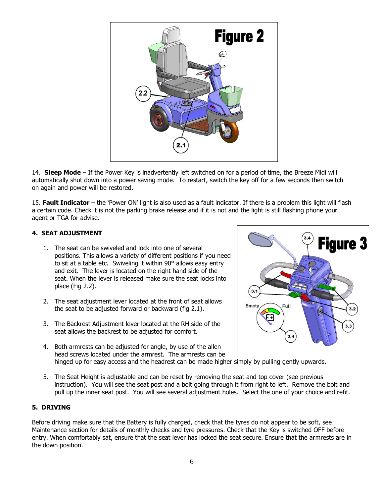

14. **Sleep Mode** – If the Power Key is inadvertently left switched on for a period of time, the Breeze Midi will automatically shut down into a power saving mode. To restart, switch the key off for a few seconds then switch on again and power will be restored.

15. **Fault Indicator** – the 'Power ON' light is also used as a fault indicator. If there is a problem this light will flash a certain code. Check it is not the parking brake release and if it is not and the light is still flashing phone your agent or TGA for advise.

# **4. SEAT ADJUSTMENT**

- 1. The seat can be swiveled and lock into one of several positions. This allows a variety of different positions if you need to sit at a table etc. Swiveling it within 90° allows easy entry and exit. The lever is located on the right hand side of the seat. When the lever is released make sure the seat locks into place (Fig 2.2).
- 2. The seat adjustment lever located at the front of seat allows the seat to be adjusted forward or backward (fig 2.1).
- 3. The Backrest Adjustment lever located at the RH side of the seat allows the backrest to be adjusted for comfort.
- 4. Both armrests can be adjusted for angle, by use of the allen head screws located under the armrest. The armrests can be hinged up for easy access and the headrest can be made higher simply by pulling gently upwards.



5. The Seat Height is adjustable and can be reset by removing the seat and top cover (see previous instruction). You will see the seat post and a bolt going through it from right to left. Remove the bolt and pull up the inner seat post. You will see several adjustment holes. Select the one of your choice and refit.

# **5. DRIVING**

Before driving make sure that the Battery is fully charged, check that the tyres do not appear to be soft, see Maintenance section for details of monthly checks and tyre pressures. Check that the Key is switched OFF before entry. When comfortably sat, ensure that the seat lever has locked the seat secure. Ensure that the armrests are in the down position.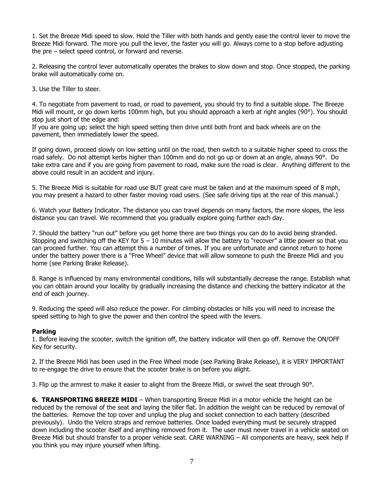1. Set the Breeze Midi speed to slow. Hold the Tiller with both hands and gently ease the control lever to move the Breeze Midi forward. The more you pull the lever, the faster you will go. Always come to a stop before adjusting the pre – select speed control, or forward and reverse.

2. Releasing the control lever automatically operates the brakes to slow down and stop. Once stopped, the parking brake will automatically come on.

3. Use the Tiller to steer.

4. To negotiate from pavement to road, or road to pavement, you should try to find a suitable slope. The Breeze Midi will mount, or go down kerbs 100mm high, but you should approach a kerb at right angles (90°). You should stop just short of the edge and:

If you are going up; select the high speed setting then drive until both front and back wheels are on the pavement, then immediately lower the speed.

If going down, proceed slowly on low setting until on the road, then switch to a suitable higher speed to cross the road safely. Do not attempt kerbs higher than 100mm and do not go up or down at an angle, always 90°. Do take extra care and if you are going from pavement to road, make sure the road is clear. Anything different to the above could result in an accident and injury.

5. The Breeze Midi is suitable for road use BUT great care must be taken and at the maximum speed of 8 mph, you may present a hazard to other faster moving road users. (See safe driving tips at the rear of this manual.)

6. Watch your Battery Indicator. The distance you can travel depends on many factors, the more slopes, the less distance you can travel. We recommend that you gradually explore going further each day.

7. Should the battery "run out" before you get home there are two things you can do to avoid being stranded. Stopping and switching off the KEY for  $5 - 10$  minutes will allow the battery to "recover" a little power so that you can proceed further. You can attempt this a number of times. If you are unfortunate and cannot return to home under the battery power there is a "Free Wheel" device that will allow someone to push the Breeze Midi and you home (see Parking Brake Release).

8. Range is influenced by many environmental conditions, hills will substantially decrease the range. Establish what you can obtain around your locality by gradually increasing the distance and checking the battery indicator at the end of each journey.

9. Reducing the speed will also reduce the power. For climbing obstacles or hills you will need to increase the speed setting to high to give the power and then control the speed with the levers.

## **Parking**

1. Before leaving the scooter, switch the ignition off, the battery indicator will then go off. Remove the ON/OFF Key for security.

2. If the Breeze Midi has been used in the Free Wheel mode (see Parking Brake Release), it is VERY IMPORTANT to re-engage the drive to ensure that the scooter brake is on before you alight.

3. Flip up the armrest to make it easier to alight from the Breeze Midi, or swivel the seat through 90°.

**6. TRANSPORTING BREEZE MIDI** – When transporting Breeze Midi in a motor vehicle the height can be reduced by the removal of the seat and laying the tiller flat. In addition the weight can be reduced by removal of the batteries. Remove the top cover and unplug the plug and socket connection to each battery (described previously). Undo the Velcro straps and remove batteries. Once loaded everything must be securely strapped down including the scooter itself and anything removed from it. The user must never travel in a vehicle seated on Breeze Midi but should transfer to a proper vehicle seat. CARE WARNING – All components are heavy, seek help if you think you may injure yourself when lifting.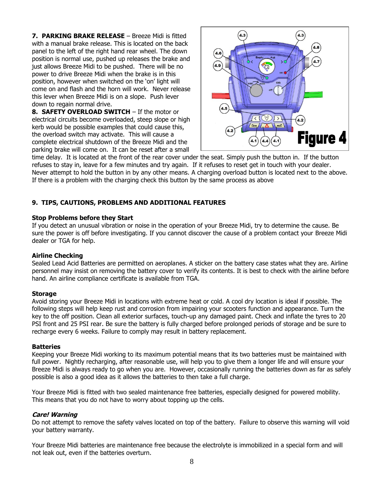**7. PARKING BRAKE RELEASE** – Breeze Midi is fitted with a manual brake release. This is located on the back panel to the left of the right hand rear wheel. The down position is normal use, pushed up releases the brake and just allows Breeze Midi to be pushed. There will be no power to drive Breeze Midi when the brake is in this position, however when switched on the 'on' light will come on and flash and the horn will work. Never release this lever when Breeze Midi is on a slope. Push lever down to regain normal drive.

**8. SAFETY OVERLOAD SWITCH** – If the motor or electrical circuits become overloaded, steep slope or high kerb would be possible examples that could cause this, the overload switch may activate. This will cause a complete electrical shutdown of the Breeze Midi and the parking brake will come on. It can be reset after a small



time delay. It is located at the front of the rear cover under the seat. Simply push the button in. If the button refuses to stay in, leave for a few minutes and try again. If it refuses to reset get in touch with your dealer. Never attempt to hold the button in by any other means. A charging overload button is located next to the above. If there is a problem with the charging check this button by the same process as above

# **9. TIPS, CAUTIONS, PROBLEMS AND ADDITIONAL FEATURES**

#### **Stop Problems before they Start**

If you detect an unusual vibration or noise in the operation of your Breeze Midi, try to determine the cause. Be sure the power is off before investigating. If you cannot discover the cause of a problem contact your Breeze Midi dealer or TGA for help.

#### **Airline Checking**

Sealed Lead Acid Batteries are permitted on aeroplanes. A sticker on the battery case states what they are. Airline personnel may insist on removing the battery cover to verify its contents. It is best to check with the airline before hand. An airline compliance certificate is available from TGA.

#### **Storage**

Avoid storing your Breeze Midi in locations with extreme heat or cold. A cool dry location is ideal if possible. The following steps will help keep rust and corrosion from impairing your scooters function and appearance. Turn the key to the off position. Clean all exterior surfaces, touch-up any damaged paint. Check and inflate the tyres to 20 PSI front and 25 PSI rear. Be sure the battery is fully charged before prolonged periods of storage and be sure to recharge every 6 weeks. Failure to comply may result in battery replacement.

#### **Batteries**

Keeping your Breeze Midi working to its maximum potential means that its two batteries must be maintained with full power. Nightly recharging, after reasonable use, will help you to give them a longer life and will ensure your Breeze Midi is always ready to go when you are. However, occasionally running the batteries down as far as safely possible is also a good idea as it allows the batteries to then take a full charge.

Your Breeze Midi is fitted with two sealed maintenance free batteries, especially designed for powered mobility. This means that you do not have to worry about topping up the cells.

## **Care! Warning**

Do not attempt to remove the safety valves located on top of the battery. Failure to observe this warning will void your battery warranty.

Your Breeze Midi batteries are maintenance free because the electrolyte is immobilized in a special form and will not leak out, even if the batteries overturn.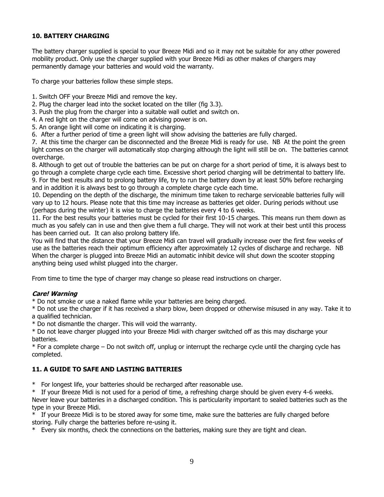# **10. BATTERY CHARGING**

The battery charger supplied is special to your Breeze Midi and so it may not be suitable for any other powered mobility product. Only use the charger supplied with your Breeze Midi as other makes of chargers may permanently damage your batteries and would void the warranty.

To charge your batteries follow these simple steps.

- 1. Switch OFF your Breeze Midi and remove the key.
- 2. Plug the charger lead into the socket located on the tiller (fig 3.3).
- 3. Push the plug from the charger into a suitable wall outlet and switch on.
- 4. A red light on the charger will come on advising power is on.
- 5. An orange light will come on indicating it is charging.
- 6. After a further period of time a green light will show advising the batteries are fully charged.

7. At this time the charger can be disconnected and the Breeze Midi is ready for use. NB At the point the green light comes on the charger will automatically stop charging although the light will still be on. The batteries cannot overcharge.

8. Although to get out of trouble the batteries can be put on charge for a short period of time, it is always best to go through a complete charge cycle each time. Excessive short period charging will be detrimental to battery life. 9. For the best results and to prolong battery life, try to run the battery down by at least 50% before recharging and in addition it is always best to go through a complete charge cycle each time.

10. Depending on the depth of the discharge, the minimum time taken to recharge serviceable batteries fully will vary up to 12 hours. Please note that this time may increase as batteries get older. During periods without use (perhaps during the winter) it is wise to charge the batteries every 4 to 6 weeks.

11. For the best results your batteries must be cycled for their first 10-15 charges. This means run them down as much as you safely can in use and then give them a full charge. They will not work at their best until this process has been carried out. It can also prolong battery life.

You will find that the distance that your Breeze Midi can travel will gradually increase over the first few weeks of use as the batteries reach their optimum efficiency after approximately 12 cycles of discharge and recharge. NB When the charger is plugged into Breeze Midi an automatic inhibit device will shut down the scooter stopping anything being used whilst plugged into the charger.

From time to time the type of charger may change so please read instructions on charger.

## **Care! Warning**

\* Do not smoke or use a naked flame while your batteries are being charged.

\* Do not use the charger if it has received a sharp blow, been dropped or otherwise misused in any way. Take it to a qualified technician.

\* Do not dismantle the charger. This will void the warranty.

\* Do not leave charger plugged into your Breeze Midi with charger switched off as this may discharge your batteries.

\* For a complete charge – Do not switch off, unplug or interrupt the recharge cycle until the charging cycle has completed.

## **11. A GUIDE TO SAFE AND LASTING BATTERIES**

\* For longest life, your batteries should be recharged after reasonable use.

\* If your Breeze Midi is not used for a period of time, a refreshing charge should be given every 4-6 weeks. Never leave your batteries in a discharged condition. This is particularity important to sealed batteries such as the type in your Breeze Midi.

If your Breeze Midi is to be stored away for some time, make sure the batteries are fully charged before storing. Fully charge the batteries before re-using it.

\* Every six months, check the connections on the batteries, making sure they are tight and clean.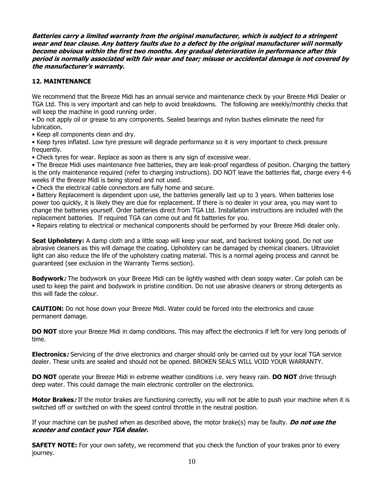**Batteries carry a limited warranty from the original manufacturer, which is subject to a stringent wear and tear clause. Any battery faults due to a defect by the original manufacturer will normally become obvious within the first two months. Any gradual deterioration in performance after this period is normally associated with fair wear and tear; misuse or accidental damage is not covered by the manufacturer's warranty.**

# **12. MAINTENANCE**

We recommend that the Breeze Midi has an annual service and maintenance check by your Breeze Midi Dealer or TGA Ltd. This is very important and can help to avoid breakdowns. The following are weekly/monthly checks that will keep the machine in good running order.

• Do not apply oil or grease to any components. Sealed bearings and nylon bushes eliminate the need for lubrication.

• Keep all components clean and dry.

• Keep tyres inflated. Low tyre pressure will degrade performance so it is very important to check pressure frequently.

• Check tyres for wear. Replace as soon as there is any sign of excessive wear.

• The Breeze Midi uses maintenance free batteries, they are leak-proof regardless of position. Charging the battery is the only maintenance required (refer to charging instructions). DO NOT leave the batteries flat, charge every 4-6 weeks if the Breeze Midi is being stored and not used.

• Check the electrical cable connectors are fully home and secure.

• Battery Replacement is dependent upon use, the batteries generally last up to 3 years. When batteries lose power too quickly, it is likely they are due for replacement. If there is no dealer in your area, you may want to change the batteries yourself. Order batteries direct from TGA Ltd. Installation instructions are included with the replacement batteries. If required TGA can come out and fit batteries for you.

• Repairs relating to electrical or mechanical components should be performed by your Breeze Midi dealer only.

**Seat Upholstery:** A damp cloth and a little soap will keep your seat, and backrest looking good. Do not use abrasive cleaners as this will damage the coating. Upholstery can be damaged by chemical cleaners. Ultraviolet light can also reduce the life of the upholstery coating material. This is a normal ageing process and cannot be guaranteed (see exclusion in the Warranty Terms section).

**Bodywork:** The bodywork on your Breeze Midi can be lightly washed with clean soapy water. Car polish can be used to keep the paint and bodywork in pristine condition. Do not use abrasive cleaners or strong detergents as this will fade the colour.

**CAUTION:** Do not hose down your Breeze Midi. Water could be forced into the electronics and cause permanent damage.

**DO NOT** store your Breeze Midi in damp conditions. This may affect the electronics if left for very long periods of time.

**Electronics:** Servicing of the drive electronics and charger should only be carried out by your local TGA service dealer. These units are sealed and should not be opened. BROKEN SEALS WILL VOID YOUR WARRANTY.

**DO NOT** operate your Breeze Midi in extreme weather conditions i.e. very heavy rain. **DO NOT** drive through deep water. This could damage the main electronic controller on the electronics.

**Motor Brakes:** If the motor brakes are functioning correctly, you will not be able to push your machine when it is switched off or switched on with the speed control throttle in the neutral position.

If your machine can be pushed when as described above, the motor brake(s) may be faulty. **Do not use the scooter and contact your TGA dealer.**

**SAFETY NOTE:** For your own safety, we recommend that you check the function of your brakes prior to every journey.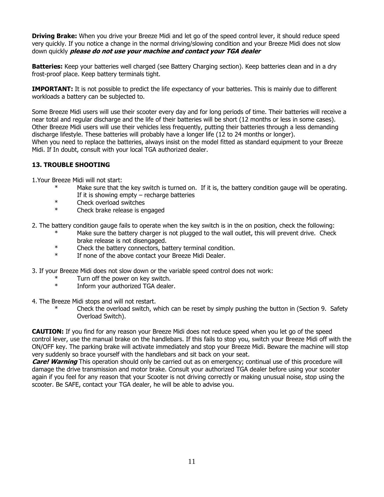**Driving Brake:** When you drive your Breeze Midi and let go of the speed control lever, it should reduce speed very quickly. If you notice a change in the normal driving/slowing condition and your Breeze Midi does not slow down quickly **please do not use your machine and contact your TGA dealer**

**Batteries:** Keep your batteries well charged (see Battery Charging section). Keep batteries clean and in a dry frost-proof place. Keep battery terminals tight.

**IMPORTANT:** It is not possible to predict the life expectancy of your batteries. This is mainly due to different workloads a battery can be subjected to.

Some Breeze Midi users will use their scooter every day and for long periods of time. Their batteries will receive a near total and regular discharge and the life of their batteries will be short (12 months or less in some cases). Other Breeze Midi users will use their vehicles less frequently, putting their batteries through a less demanding discharge lifestyle. These batteries will probably have a longer life (12 to 24 months or longer). When you need to replace the batteries, always insist on the model fitted as standard equipment to your Breeze Midi. If In doubt, consult with your local TGA authorized dealer.

## **13. TROUBLE SHOOTING**

1.Your Breeze Midi will not start:

- \* Make sure that the key switch is turned on. If it is, the battery condition gauge will be operating. If it is showing empty  $-$  recharge batteries
- \* Check overload switches
- \* Check brake release is engaged

2. The battery condition gauge fails to operate when the key switch is in the on position, check the following:

- Make sure the battery charger is not plugged to the wall outlet, this will prevent drive. Check brake release is not disengaged.
- \* Check the battery connectors, battery terminal condition.<br>\* If none of the above contact your Breeze Midi Dealer
- If none of the above contact your Breeze Midi Dealer.

3. If your Breeze Midi does not slow down or the variable speed control does not work:

- \* Turn off the power on key switch.
- \* Inform your authorized TGA dealer.
- 4. The Breeze Midi stops and will not restart.
	- Check the overload switch, which can be reset by simply pushing the button in (Section 9. Safety Overload Switch).

**CAUTION:** If you find for any reason your Breeze Midi does not reduce speed when you let go of the speed control lever, use the manual brake on the handlebars. If this fails to stop you, switch your Breeze Midi off with the ON/OFF key. The parking brake will activate immediately and stop your Breeze Midi. Beware the machine will stop very suddenly so brace yourself with the handlebars and sit back on your seat.

**Care! Warning** This operation should only be carried out as on emergency; continual use of this procedure will damage the drive transmission and motor brake. Consult your authorized TGA dealer before using your scooter again if you feel for any reason that your Scooter is not driving correctly or making unusual noise, stop using the scooter. Be SAFE, contact your TGA dealer, he will be able to advise you.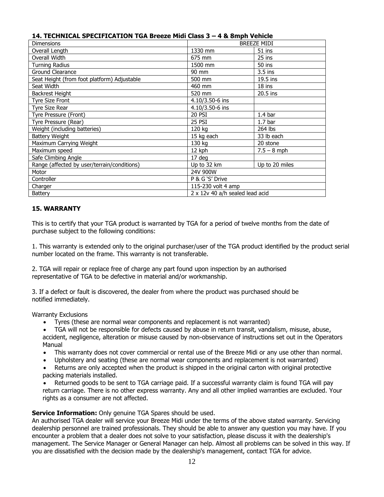# **14. TECHNICAL SPECIFICATION TGA Breeze Midi Class 3 – 4 & 8mph Vehicle**

| <b>Dimensions</b>                           | <b>BREEZE MIDI</b>              |                    |
|---------------------------------------------|---------------------------------|--------------------|
| Overall Length                              | 1330 mm                         | $51$ ins           |
| Overall Width                               | 675 mm                          | 25 ins             |
| <b>Turning Radius</b>                       | 1500 mm                         | 50 ins             |
| Ground Clearance                            | 90 mm                           | 3.5 ins            |
| Seat Height (from foot platform) Adjustable | 500 mm                          | $19.5$ ins         |
| Seat Width                                  | 460 mm                          | $18$ ins           |
| <b>Backrest Height</b>                      | 520 mm                          | 20.5 ins           |
| <b>Tyre Size Front</b>                      | 4.10/3.50-6 ins                 |                    |
| Tyre Size Rear                              | 4.10/3.50-6 ins                 |                    |
| Tyre Pressure (Front)                       | <b>20 PSI</b>                   | 1.4 <sub>bar</sub> |
| Tyre Pressure (Rear)                        | 25 PSI                          | 1.7 <sub>bar</sub> |
| Weight (including batteries)                | 120 kg                          | 264 lbs            |
| <b>Battery Weight</b>                       | 15 kg each                      | 33 lb each         |
| Maximum Carrying Weight                     | 130 kg                          | 20 stone           |
| Maximum speed                               | 12 kph                          | $7.5 - 8$ mph      |
| Safe Climbing Angle                         | $17$ deg                        |                    |
| Range (affected by user/terrain/conditions) | Up to 32 km                     | Up to 20 miles     |
| Motor                                       | 24V 900W                        |                    |
| Controller                                  | P & G 'S' Drive                 |                    |
| Charger                                     | 115-230 volt 4 amp              |                    |
| <b>Battery</b>                              | 2 x 12v 40 a/h sealed lead acid |                    |

## **15. WARRANTY**

This is to certify that your TGA product is warranted by TGA for a period of twelve months from the date of purchase subject to the following conditions:

1. This warranty is extended only to the original purchaser/user of the TGA product identified by the product serial number located on the frame. This warranty is not transferable.

2. TGA will repair or replace free of charge any part found upon inspection by an authorised representative of TGA to be defective in material and/or workmanship.

3. If a defect or fault is discovered, the dealer from where the product was purchased should be notified immediately.

Warranty Exclusions

- Tyres (these are normal wear components and replacement is not warranted)
- TGA will not be responsible for defects caused by abuse in return transit, vandalism, misuse, abuse, accident, negligence, alteration or misuse caused by non-observance of instructions set out in the Operators Manual
- This warranty does not cover commercial or rental use of the Breeze Midi or any use other than normal.
- Upholstery and seating (these are normal wear components and replacement is not warranted)
- Returns are only accepted when the product is shipped in the original carton with original protective packing materials installed.

• Returned goods to be sent to TGA carriage paid. If a successful warranty claim is found TGA will pay return carriage. There is no other express warranty. Any and all other implied warranties are excluded. Your rights as a consumer are not affected.

## **Service Information:** Only genuine TGA Spares should be used.

An authorised TGA dealer will service your Breeze Midi under the terms of the above stated warranty. Servicing dealership personnel are trained professionals. They should be able to answer any question you may have. If you encounter a problem that a dealer does not solve to your satisfaction, please discuss it with the dealership's management. The Service Manager or General Manager can help. Almost all problems can be solved in this way. If you are dissatisfied with the decision made by the dealership's management, contact TGA for advice.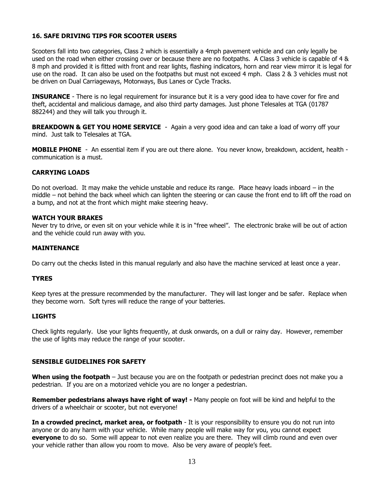## **16. SAFE DRIVING TIPS FOR SCOOTER USERS**

Scooters fall into two categories, Class 2 which is essentially a 4mph pavement vehicle and can only legally be used on the road when either crossing over or because there are no footpaths. A Class 3 vehicle is capable of 4 & 8 mph and provided it is fitted with front and rear lights, flashing indicators, horn and rear view mirror it is legal for use on the road. It can also be used on the footpaths but must not exceed 4 mph. Class 2 & 3 vehicles must not be driven on Dual Carriageways, Motorways, Bus Lanes or Cycle Tracks.

**INSURANCE** - There is no legal requirement for insurance but it is a very good idea to have cover for fire and theft, accidental and malicious damage, and also third party damages. Just phone Telesales at TGA (01787 882244) and they will talk you through it.

**BREAKDOWN & GET YOU HOME SERVICE** - Again a very good idea and can take a load of worry off your mind. Just talk to Telesales at TGA.

**MOBILE PHONE** - An essential item if you are out there alone. You never know, breakdown, accident, health communication is a must.

#### **CARRYING LOADS**

Do not overload. It may make the vehicle unstable and reduce its range. Place heavy loads inboard – in the middle – not behind the back wheel which can lighten the steering or can cause the front end to lift off the road on a bump, and not at the front which might make steering heavy.

#### **WATCH YOUR BRAKES**

Never try to drive, or even sit on your vehicle while it is in "free wheel". The electronic brake will be out of action and the vehicle could run away with you.

#### **MAINTENANCE**

Do carry out the checks listed in this manual regularly and also have the machine serviced at least once a year.

#### **TYRES**

Keep tyres at the pressure recommended by the manufacturer. They will last longer and be safer. Replace when they become worn. Soft tyres will reduce the range of your batteries.

#### **LIGHTS**

Check lights regularly. Use your lights frequently, at dusk onwards, on a dull or rainy day. However, remember the use of lights may reduce the range of your scooter.

#### **SENSIBLE GUIDELINES FOR SAFETY**

**When using the footpath** – Just because you are on the footpath or pedestrian precinct does not make you a pedestrian. If you are on a motorized vehicle you are no longer a pedestrian.

**Remember pedestrians always have right of way! -** Many people on foot will be kind and helpful to the drivers of a wheelchair or scooter, but not everyone!

**In a crowded precinct, market area, or footpath** - It is your responsibility to ensure you do not run into anyone or do any harm with your vehicle. While many people will make way for you, you cannot expect **everyone** to do so. Some will appear to not even realize you are there. They will climb round and even over your vehicle rather than allow you room to move. Also be very aware of people's feet.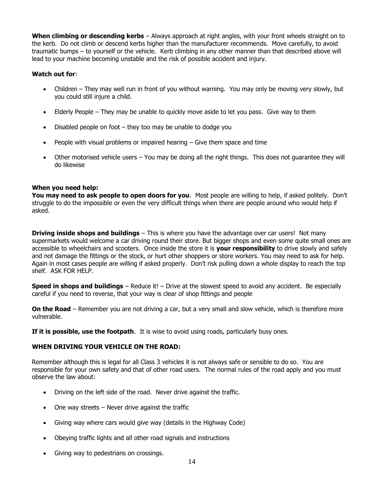**When climbing or descending kerbs** – Always approach at right angles, with your front wheels straight on to the kerb. Do not climb or descend kerbs higher than the manufacturer recommends. Move carefully, to avoid traumatic bumps – to yourself or the vehicle. Kerb climbing in any other manner than that described above will lead to your machine becoming unstable and the risk of possible accident and injury.

## **Watch out for**:

- Children They may well run in front of you without warning. You may only be moving very slowly, but you could still injure a child.
- Elderly People They may be unable to quickly move aside to let you pass. Give way to them
- Disabled people on foot  $-$  they too may be unable to dodge you
- People with visual problems or impaired hearing Give them space and time
- Other motorised vehicle users You may be doing all the right things. This does not guarantee they will do likewise

# **When you need help:**

**You may need to ask people to open doors for you**. Most people are willing to help, if asked politely. Don't struggle to do the impossible or even the very difficult things when there are people around who would help if asked.

**Driving inside shops and buildings** – This is where you have the advantage over car users! Not many supermarkets would welcome a car driving round their store. But bigger shops and even some quite small ones are accessible to wheelchairs and scooters. Once inside the store it is **your responsibility** to drive slowly and safely and not damage the fittings or the stock, or hurt other shoppers or store workers. You may need to ask for help. Again in most cases people are willing if asked properly. Don't risk pulling down a whole display to reach the top shelf. ASK FOR HELP.

**Speed in shops and buildings** – Reduce it! – Drive at the slowest speed to avoid any accident. Be especially careful if you need to reverse, that your way is clear of shop fittings and people

**On the Road** – Remember you are not driving a car, but a very small and slow vehicle, which is therefore more vulnerable.

**If it is possible, use the footpath**. It is wise to avoid using roads, particularly busy ones.

## **WHEN DRIVING YOUR VEHICLE ON THE ROAD:**

Remember although this is legal for all Class 3 vehicles it is not always safe or sensible to do so. You are responsible for your own safety and that of other road users. The normal rules of the road apply and you must observe the law about:

- Driving on the left side of the road. Never drive against the traffic.
- One way streets Never drive against the traffic
- Giving way where cars would give way (details in the Highway Code)
- Obeying traffic lights and all other road signals and instructions
- Giving way to pedestrians on crossings.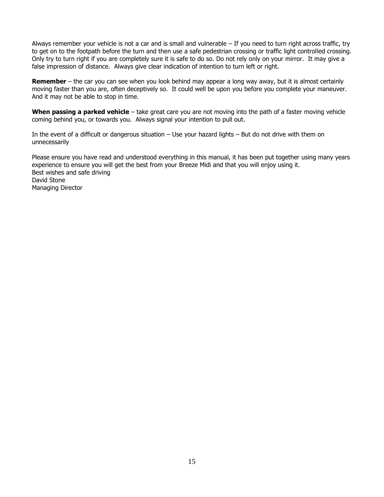Always remember your vehicle is not a car and is small and vulnerable  $-$  If you need to turn right across traffic, try to get on to the footpath before the turn and then use a safe pedestrian crossing or traffic light controlled crossing. Only try to turn right if you are completely sure it is safe to do so. Do not rely only on your mirror. It may give a false impression of distance. Always give clear indication of intention to turn left or right.

**Remember** – the car you can see when you look behind may appear a long way away, but it is almost certainly moving faster than you are, often deceptively so. It could well be upon you before you complete your maneuver. And it may not be able to stop in time.

**When passing a parked vehicle** – take great care you are not moving into the path of a faster moving vehicle coming behind you, or towards you. Always signal your intention to pull out.

In the event of a difficult or dangerous situation – Use your hazard lights – But do not drive with them on unnecessarily

Please ensure you have read and understood everything in this manual, it has been put together using many years experience to ensure you will get the best from your Breeze Midi and that you will enjoy using it. Best wishes and safe driving David Stone Managing Director